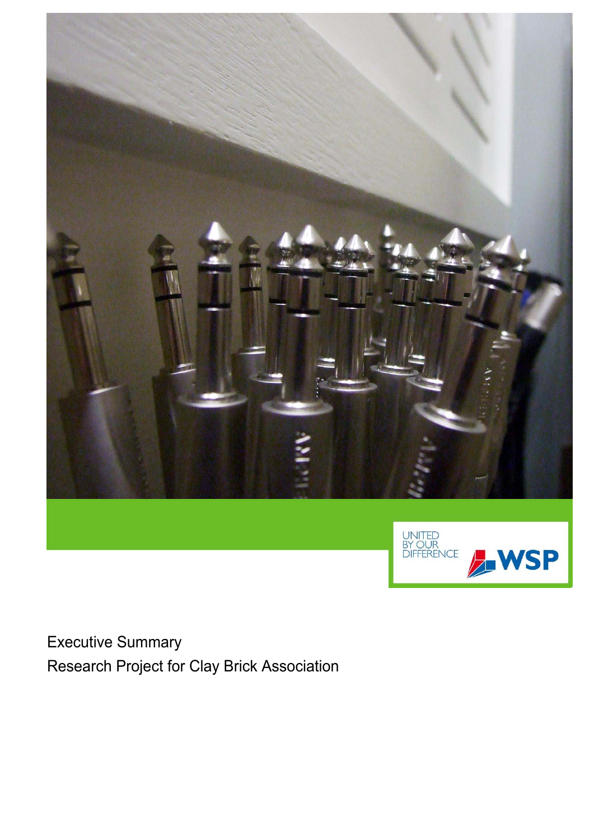



Executive Summary Research Project for Clay Brick Association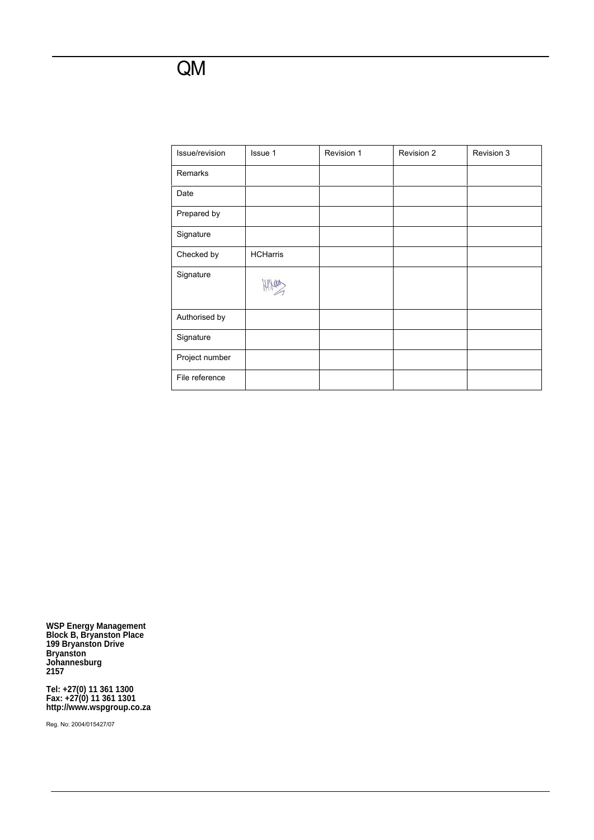### QM

| Issue/revision | Issue 1         | Revision 1 | Revision 2 | Revision 3 |
|----------------|-----------------|------------|------------|------------|
| Remarks        |                 |            |            |            |
| Date           |                 |            |            |            |
| Prepared by    |                 |            |            |            |
| Signature      |                 |            |            |            |
| Checked by     | <b>HCHarris</b> |            |            |            |
| Signature      |                 |            |            |            |
| Authorised by  |                 |            |            |            |
| Signature      |                 |            |            |            |
| Project number |                 |            |            |            |
| File reference |                 |            |            |            |

**WSP Energy Management Block B, Bryanston Place 199 Bryanston Drive Bryanston Johannesburg 2157** 

**Tel: +27(0) 11 361 1300 Fax: +27(0) 11 361 1301 http://www.wspgroup.co.za** 

Reg. No: 2004/015427/07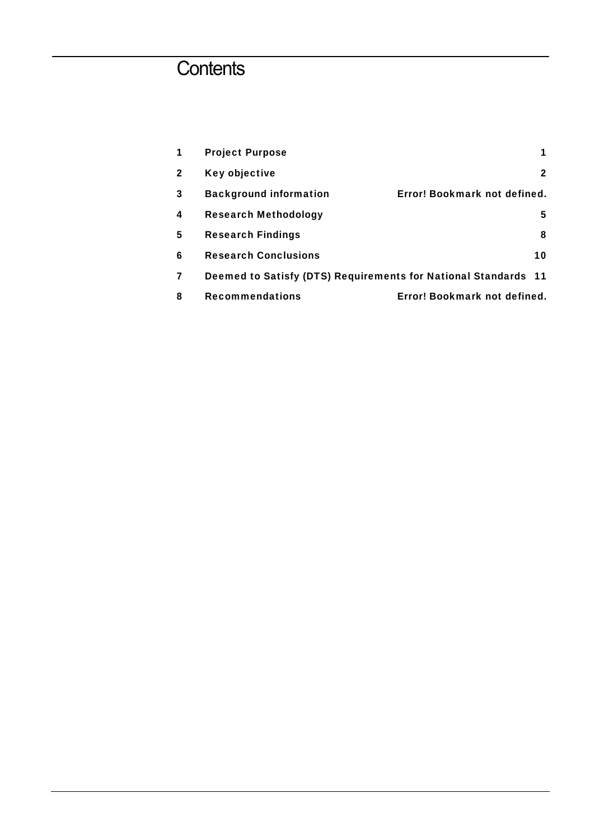# **Contents**

| 1            | <b>Project Purpose</b>                                         |                              |
|--------------|----------------------------------------------------------------|------------------------------|
| $\mathbf{2}$ | Key objective                                                  | 2                            |
| 3            | <b>Background information</b>                                  | Error! Bookmark not defined. |
| 4            | <b>Research Methodology</b>                                    | 5                            |
| 5            | <b>Research Findings</b>                                       | 8                            |
| 6            | <b>Research Conclusions</b>                                    | 10                           |
| 7            | Deemed to Satisfy (DTS) Requirements for National Standards 11 |                              |
| 8            | <b>Recommendations</b>                                         | Error! Bookmark not defined. |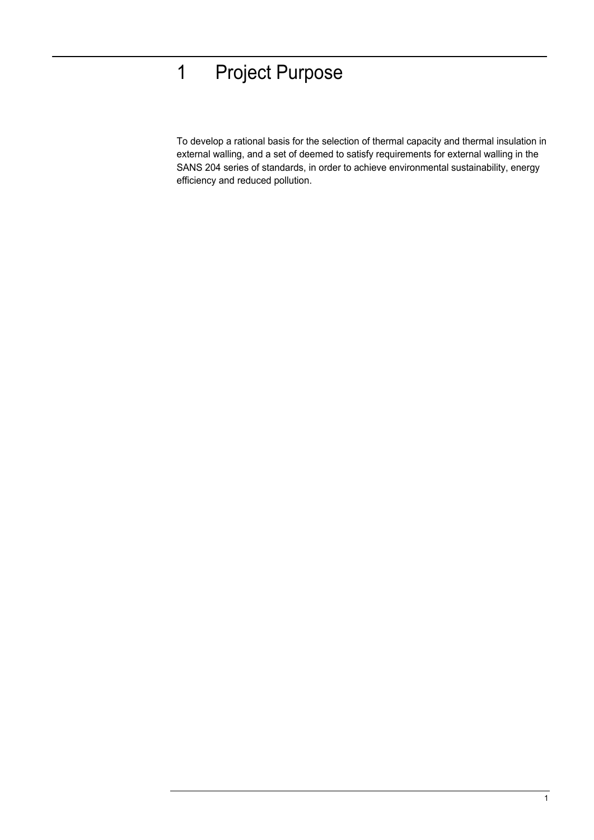# 1 Project Purpose

To develop a rational basis for the selection of thermal capacity and thermal insulation in external walling, and a set of deemed to satisfy requirements for external walling in the SANS 204 series of standards, in order to achieve environmental sustainability, energy efficiency and reduced pollution.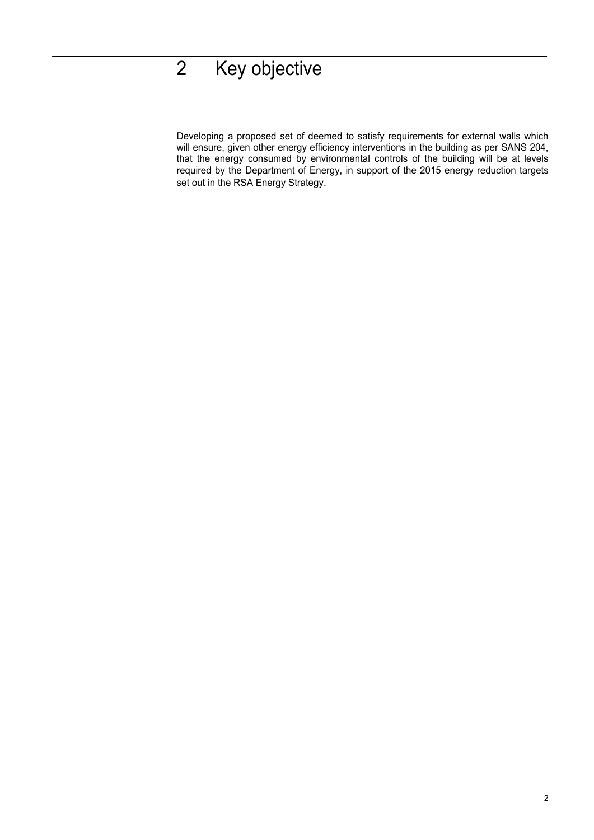# 2 Key objective

Developing a proposed set of deemed to satisfy requirements for external walls which will ensure, given other energy efficiency interventions in the building as per SANS 204, that the energy consumed by environmental controls of the building will be at levels required by the Department of Energy, in support of the 2015 energy reduction targets set out in the RSA Energy Strategy.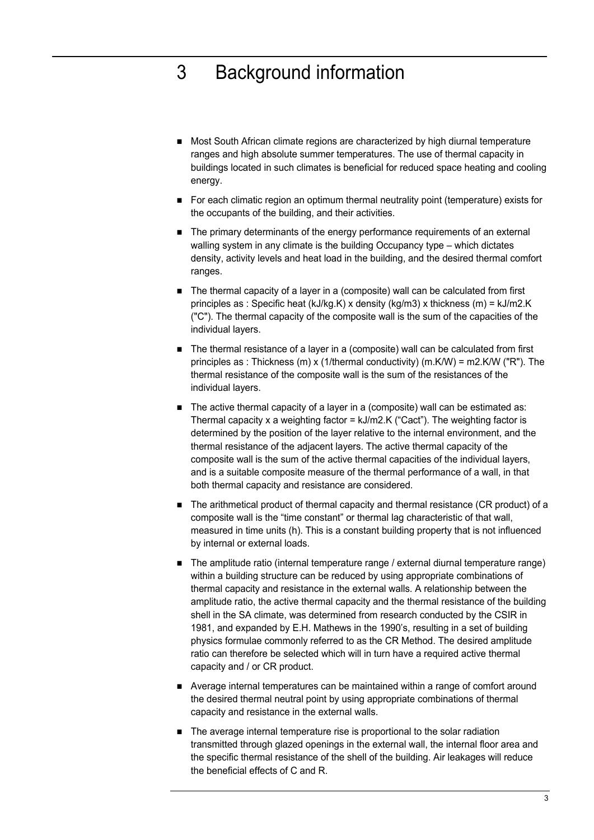## 3 Background information

- Most South African climate regions are characterized by high diurnal temperature ranges and high absolute summer temperatures. The use of thermal capacity in buildings located in such climates is beneficial for reduced space heating and cooling energy.
- For each climatic region an optimum thermal neutrality point (temperature) exists for the occupants of the building, and their activities.
- The primary determinants of the energy performance requirements of an external walling system in any climate is the building Occupancy type – which dictates density, activity levels and heat load in the building, and the desired thermal comfort ranges.
- The thermal capacity of a layer in a (composite) wall can be calculated from first principles as : Specific heat (kJ/kg.K) x density (kg/m3) x thickness (m) = kJ/m2.K ("C"). The thermal capacity of the composite wall is the sum of the capacities of the individual layers.
- The thermal resistance of a layer in a (composite) wall can be calculated from first principles as : Thickness (m) x (1/thermal conductivity) (m.K/W) = m2.K/W ("R"). The thermal resistance of the composite wall is the sum of the resistances of the individual layers.
- The active thermal capacity of a layer in a (composite) wall can be estimated as: Thermal capacity x a weighting factor = kJ/m2.K ("Cact"). The weighting factor is determined by the position of the layer relative to the internal environment, and the thermal resistance of the adjacent layers. The active thermal capacity of the composite wall is the sum of the active thermal capacities of the individual layers, and is a suitable composite measure of the thermal performance of a wall, in that both thermal capacity and resistance are considered.
- The arithmetical product of thermal capacity and thermal resistance (CR product) of a composite wall is the "time constant" or thermal lag characteristic of that wall, measured in time units (h). This is a constant building property that is not influenced by internal or external loads.
- The amplitude ratio (internal temperature range / external diurnal temperature range) within a building structure can be reduced by using appropriate combinations of thermal capacity and resistance in the external walls. A relationship between the amplitude ratio, the active thermal capacity and the thermal resistance of the building shell in the SA climate, was determined from research conducted by the CSIR in 1981, and expanded by E.H. Mathews in the 1990's, resulting in a set of building physics formulae commonly referred to as the CR Method. The desired amplitude ratio can therefore be selected which will in turn have a required active thermal capacity and / or CR product.
- Average internal temperatures can be maintained within a range of comfort around the desired thermal neutral point by using appropriate combinations of thermal capacity and resistance in the external walls.
- The average internal temperature rise is proportional to the solar radiation transmitted through glazed openings in the external wall, the internal floor area and the specific thermal resistance of the shell of the building. Air leakages will reduce the beneficial effects of C and R.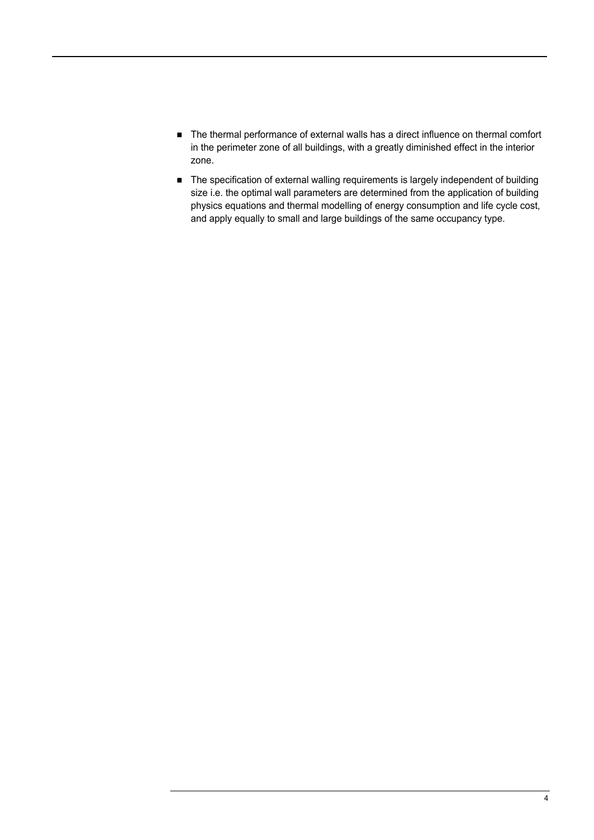- The thermal performance of external walls has a direct influence on thermal comfort in the perimeter zone of all buildings, with a greatly diminished effect in the interior zone.
- The specification of external walling requirements is largely independent of building size i.e. the optimal wall parameters are determined from the application of building physics equations and thermal modelling of energy consumption and life cycle cost, and apply equally to small and large buildings of the same occupancy type.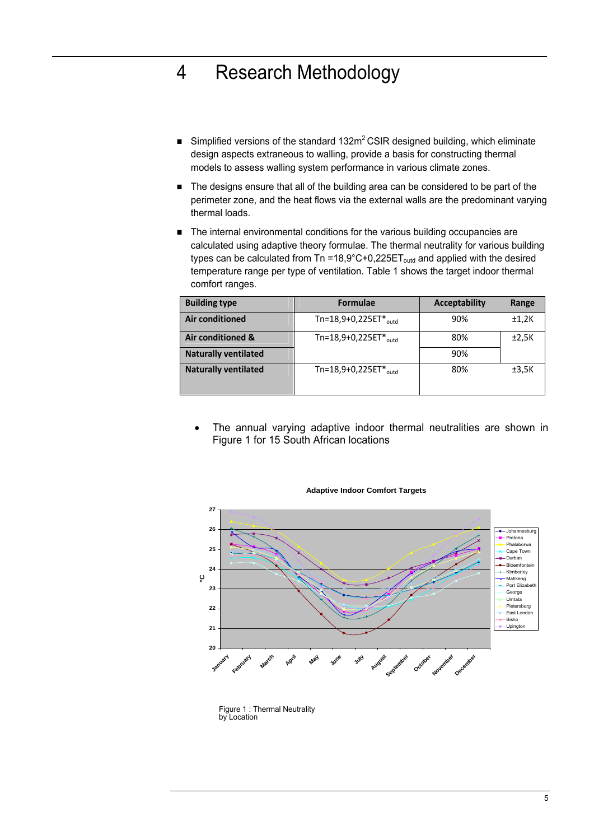## 4 Research Methodology

- Simplified versions of the standard 132 $m^2$  CSIR designed building, which eliminate design aspects extraneous to walling, provide a basis for constructing thermal models to assess walling system performance in various climate zones.
- The designs ensure that all of the building area can be considered to be part of the perimeter zone, and the heat flows via the external walls are the predominant varying thermal loads.
- The internal environmental conditions for the various building occupancies are calculated using adaptive theory formulae. The thermal neutrality for various building types can be calculated from Tn =18,9°C+0,225ET<sub>outd</sub> and applied with the desired temperature range per type of ventilation. Table 1 shows the target indoor thermal comfort ranges.

| <b>Building type</b>        | <b>Formulae</b>                   | <b>Acceptability</b> | Range |
|-----------------------------|-----------------------------------|----------------------|-------|
| Air conditioned             | Tn=18,9+0,225ET $*_{\text{outd}}$ | 90%                  | ±1,2K |
| Air conditioned &           | Tn=18,9+0,225ET $*_{\text{outd}}$ | 80%                  | ±2,5K |
| <b>Naturally ventilated</b> |                                   | 90%                  |       |
| <b>Naturally ventilated</b> | Tn=18,9+0,225ET $*_{\text{outd}}$ | 80%                  | ±3,5K |
|                             |                                   |                      |       |

The annual varying adaptive indoor thermal neutralities are shown in Figure 1 for 15 South African locations



#### **Adaptive Indoor Comfort Targets**

Figure 1 : Thermal Neutrality by Location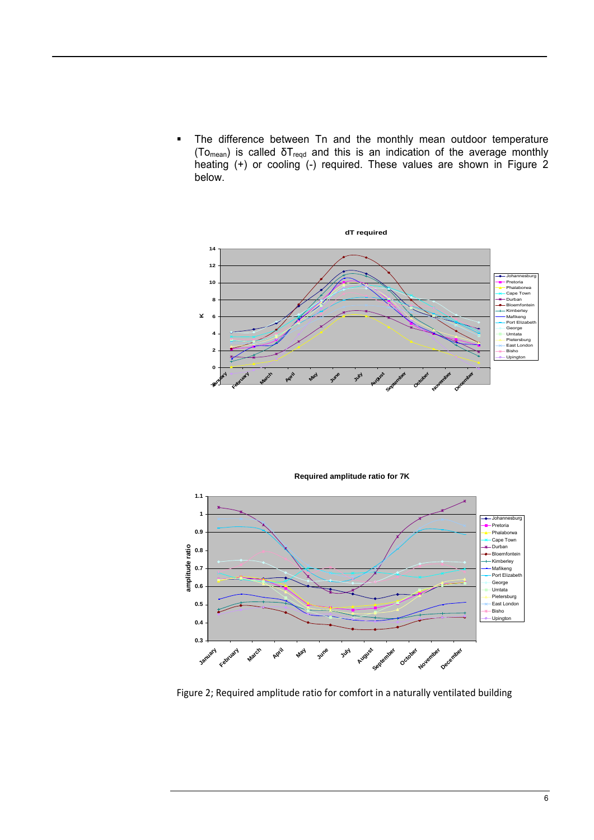• The difference between Tn and the monthly mean outdoor temperature (To<sub>mean</sub>) is called  $\delta T_{\text{reqd}}$  and this is an indication of the average monthly heating (+) or cooling (-) required. These values are shown in Figure 2 below.



**Required amplitude ratio for 7K**



Figure 2; Required amplitude ratio for comfort in a naturally ventilated building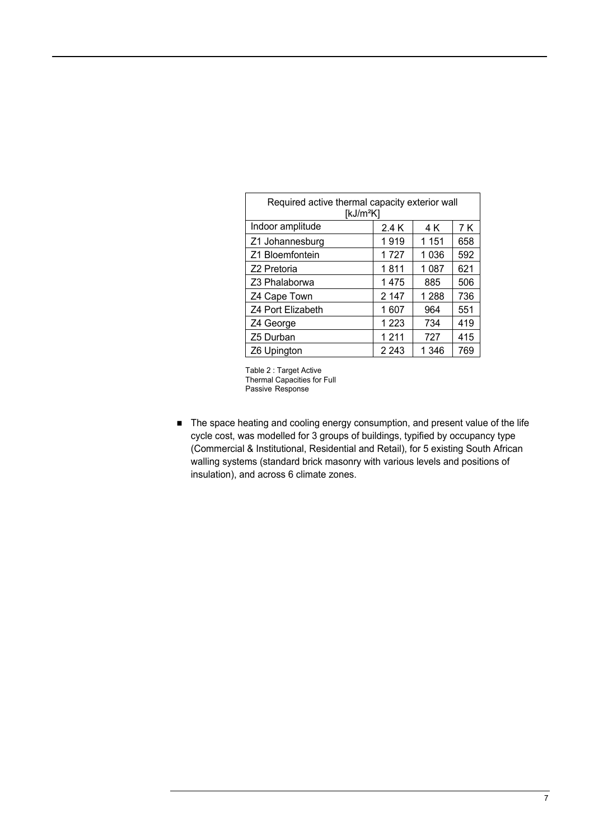| Required active thermal capacity exterior wall<br>[ $kJ/m2K$ ] |         |         |     |  |  |
|----------------------------------------------------------------|---------|---------|-----|--|--|
| Indoor amplitude                                               | 2.4 K   | 4 K     | 7 K |  |  |
| Z1 Johannesburg                                                | 1919    | 1 1 5 1 | 658 |  |  |
| Z1 Bloemfontein                                                | 1727    | 1036    | 592 |  |  |
| Z2 Pretoria                                                    | 1811    | 1 0 8 7 | 621 |  |  |
| Z3 Phalaborwa                                                  | 1475    | 885     | 506 |  |  |
| Z4 Cape Town                                                   | 2 1 4 7 | 1 2 8 8 | 736 |  |  |
| Z4 Port Elizabeth                                              | 1607    | 964     | 551 |  |  |
| Z4 George                                                      | 1 2 2 3 | 734     | 419 |  |  |
| Z5 Durban                                                      | 1211    | 727     | 415 |  |  |
| Z6 Upington                                                    | 2 2 4 3 | 1 346   | 769 |  |  |

Table 2 : Target Active Thermal Capacities for Full Passive Response

■ The space heating and cooling energy consumption, and present value of the life cycle cost, was modelled for 3 groups of buildings, typified by occupancy type (Commercial & Institutional, Residential and Retail), for 5 existing South African walling systems (standard brick masonry with various levels and positions of insulation), and across 6 climate zones.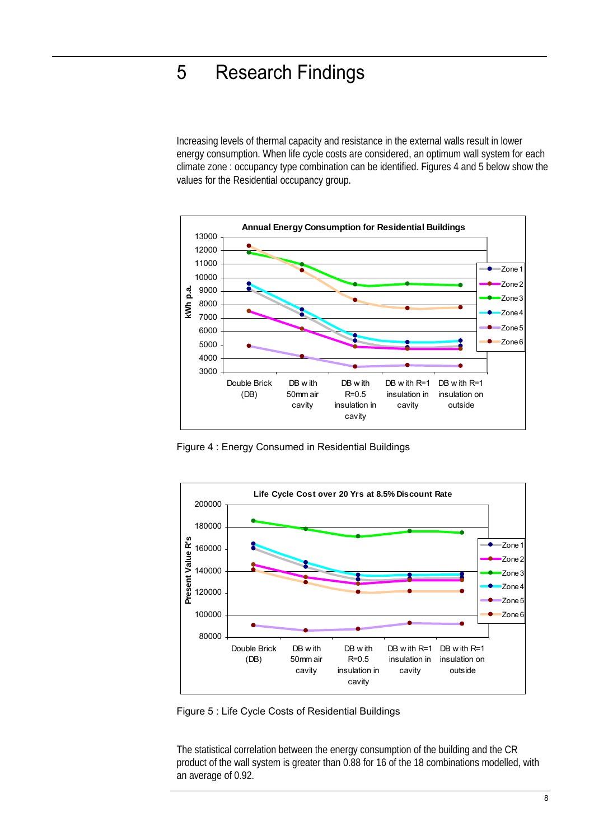### 5 Research Findings

Increasing levels of thermal capacity and resistance in the external walls result in lower energy consumption. When life cycle costs are considered, an optimum wall system for each climate zone : occupancy type combination can be identified. Figures 4 and 5 below show the values for the Residential occupancy group.



Figure 4 : Energy Consumed in Residential Buildings



Figure 5 : Life Cycle Costs of Residential Buildings

The statistical correlation between the energy consumption of the building and the CR product of the wall system is greater than 0.88 for 16 of the 18 combinations modelled, with an average of 0.92.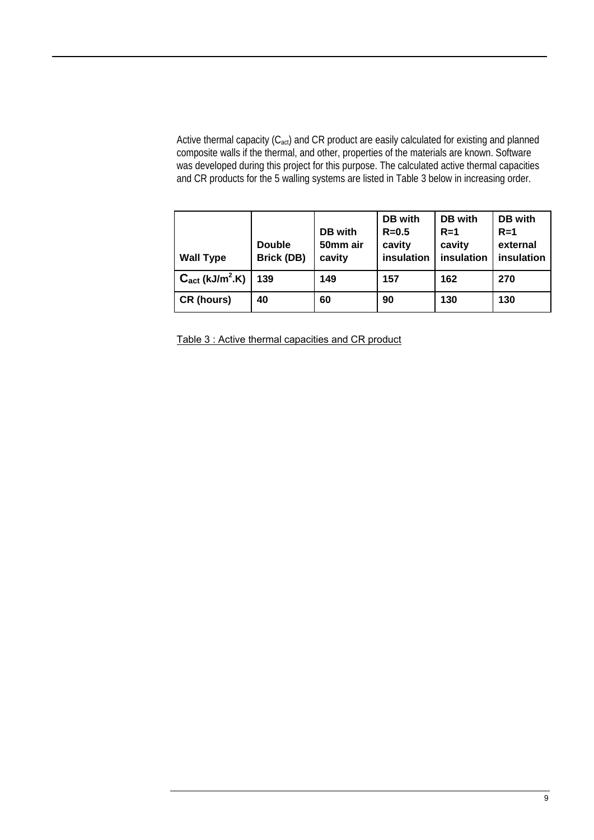Active thermal capacity (C<sub>act</sub>) and CR product are easily calculated for existing and planned composite walls if the thermal, and other, properties of the materials are known. Software was developed during this project for this purpose. The calculated active thermal capacities and CR products for the 5 walling systems are listed in Table 3 below in increasing order.

| <b>Wall Type</b>                        | <b>Double</b><br><b>Brick (DB)</b> | DB with<br>50mm air<br>cavity | DB with<br>$R = 0.5$<br>cavity<br>insulation | DB with<br>$R=1$<br>cavity<br>insulation | DB with<br>$R=1$<br>external<br>insulation |
|-----------------------------------------|------------------------------------|-------------------------------|----------------------------------------------|------------------------------------------|--------------------------------------------|
| $C_{\text{act}}$ (kJ/m <sup>2</sup> .K) | 139                                | 149                           | 157                                          | 162                                      | 270                                        |
| <b>CR</b> (hours)                       | 40                                 | 60                            | 90                                           | 130                                      | 130                                        |

Table 3 : Active thermal capacities and CR product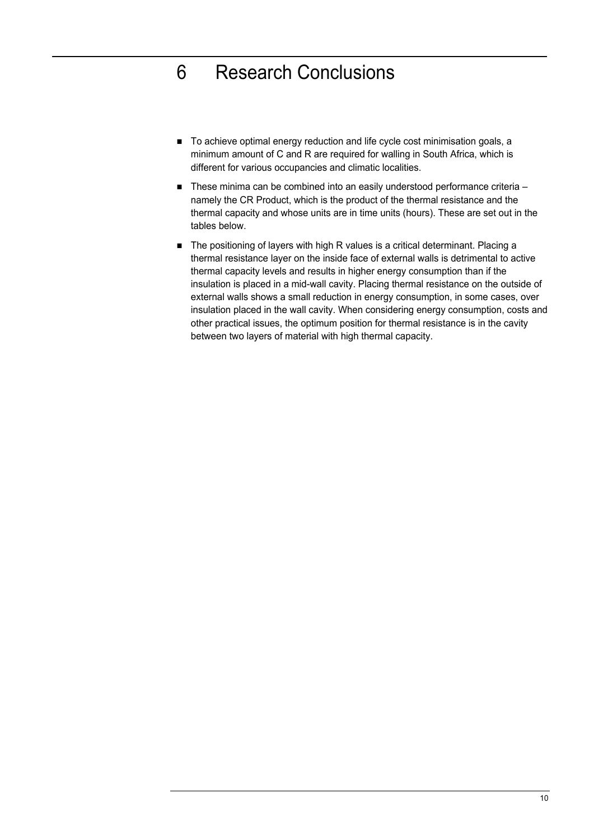# 6 Research Conclusions

- To achieve optimal energy reduction and life cycle cost minimisation goals, a minimum amount of C and R are required for walling in South Africa, which is different for various occupancies and climatic localities.
- $\blacksquare$  These minima can be combined into an easily understood performance criteria namely the CR Product, which is the product of the thermal resistance and the thermal capacity and whose units are in time units (hours). These are set out in the tables below.
- The positioning of layers with high R values is a critical determinant. Placing a thermal resistance layer on the inside face of external walls is detrimental to active thermal capacity levels and results in higher energy consumption than if the insulation is placed in a mid-wall cavity. Placing thermal resistance on the outside of external walls shows a small reduction in energy consumption, in some cases, over insulation placed in the wall cavity. When considering energy consumption, costs and other practical issues, the optimum position for thermal resistance is in the cavity between two layers of material with high thermal capacity.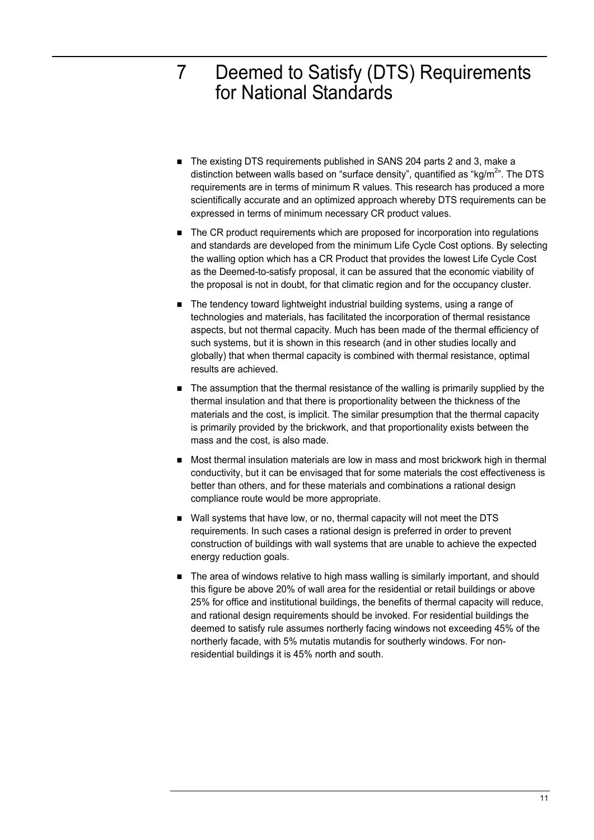### 7 Deemed to Satisfy (DTS) Requirements for National Standards

- The existing DTS requirements published in SANS 204 parts 2 and 3, make a distinction between walls based on "surface density", quantified as "kg/m<sup>2</sup>". The DTS requirements are in terms of minimum R values. This research has produced a more scientifically accurate and an optimized approach whereby DTS requirements can be expressed in terms of minimum necessary CR product values.
- The CR product requirements which are proposed for incorporation into regulations and standards are developed from the minimum Life Cycle Cost options. By selecting the walling option which has a CR Product that provides the lowest Life Cycle Cost as the Deemed-to-satisfy proposal, it can be assured that the economic viability of the proposal is not in doubt, for that climatic region and for the occupancy cluster.
- The tendency toward lightweight industrial building systems, using a range of technologies and materials, has facilitated the incorporation of thermal resistance aspects, but not thermal capacity. Much has been made of the thermal efficiency of such systems, but it is shown in this research (and in other studies locally and globally) that when thermal capacity is combined with thermal resistance, optimal results are achieved.
- The assumption that the thermal resistance of the walling is primarily supplied by the thermal insulation and that there is proportionality between the thickness of the materials and the cost, is implicit. The similar presumption that the thermal capacity is primarily provided by the brickwork, and that proportionality exists between the mass and the cost, is also made.
- Most thermal insulation materials are low in mass and most brickwork high in thermal conductivity, but it can be envisaged that for some materials the cost effectiveness is better than others, and for these materials and combinations a rational design compliance route would be more appropriate.
- Wall systems that have low, or no, thermal capacity will not meet the DTS requirements. In such cases a rational design is preferred in order to prevent construction of buildings with wall systems that are unable to achieve the expected energy reduction goals.
- The area of windows relative to high mass walling is similarly important, and should this figure be above 20% of wall area for the residential or retail buildings or above 25% for office and institutional buildings, the benefits of thermal capacity will reduce, and rational design requirements should be invoked. For residential buildings the deemed to satisfy rule assumes northerly facing windows not exceeding 45% of the northerly facade, with 5% mutatis mutandis for southerly windows. For nonresidential buildings it is 45% north and south.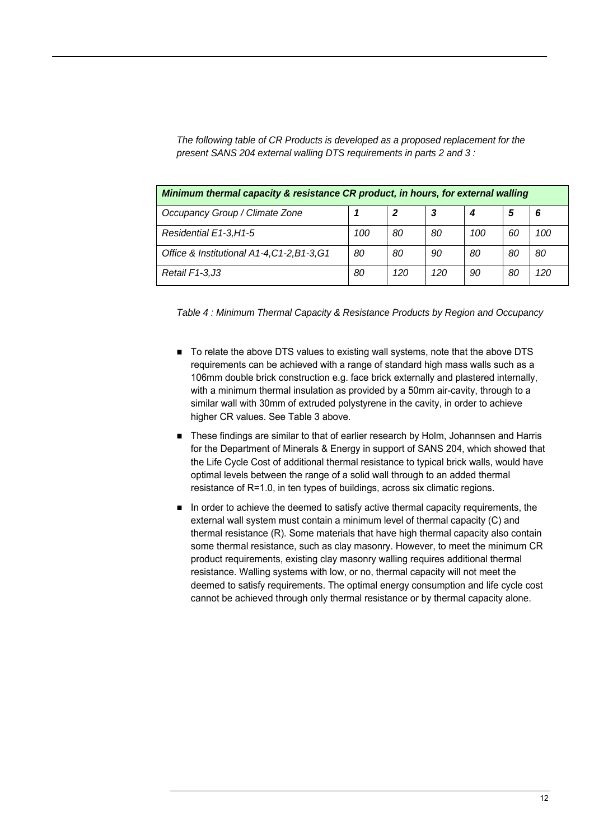| <b>Minimum thermal capacity &amp; resistance CR product, in hours, for external walling</b> |     |    |    |     |    |     |
|---------------------------------------------------------------------------------------------|-----|----|----|-----|----|-----|
| Occupancy Group / Climate Zone                                                              |     | 2  |    |     | 5  | 6   |
| Residential E1-3, H1-5                                                                      | 100 | 80 | 80 | 100 | 60 | 100 |
| Office & Institutional A1-4, C1-2, B1-3, G1                                                 | 80  | 80 | 90 | 80  | 80 | 80  |

*The following table of CR Products is developed as a proposed replacement for the present SANS 204 external walling DTS requirements in parts 2 and 3 :* 

*Table 4 : Minimum Thermal Capacity & Resistance Products by Region and Occupancy* 

*Retail F1-3,J3 80 120 120 90 80 120* 

- To relate the above DTS values to existing wall systems, note that the above DTS requirements can be achieved with a range of standard high mass walls such as a 106mm double brick construction e.g. face brick externally and plastered internally, with a minimum thermal insulation as provided by a 50mm air-cavity, through to a similar wall with 30mm of extruded polystyrene in the cavity, in order to achieve higher CR values. See Table 3 above.
- These findings are similar to that of earlier research by Holm, Johannsen and Harris for the Department of Minerals & Energy in support of SANS 204, which showed that the Life Cycle Cost of additional thermal resistance to typical brick walls, would have optimal levels between the range of a solid wall through to an added thermal resistance of R=1.0, in ten types of buildings, across six climatic regions.
- In order to achieve the deemed to satisfy active thermal capacity requirements, the external wall system must contain a minimum level of thermal capacity (C) and thermal resistance (R). Some materials that have high thermal capacity also contain some thermal resistance, such as clay masonry. However, to meet the minimum CR product requirements, existing clay masonry walling requires additional thermal resistance. Walling systems with low, or no, thermal capacity will not meet the deemed to satisfy requirements. The optimal energy consumption and life cycle cost cannot be achieved through only thermal resistance or by thermal capacity alone.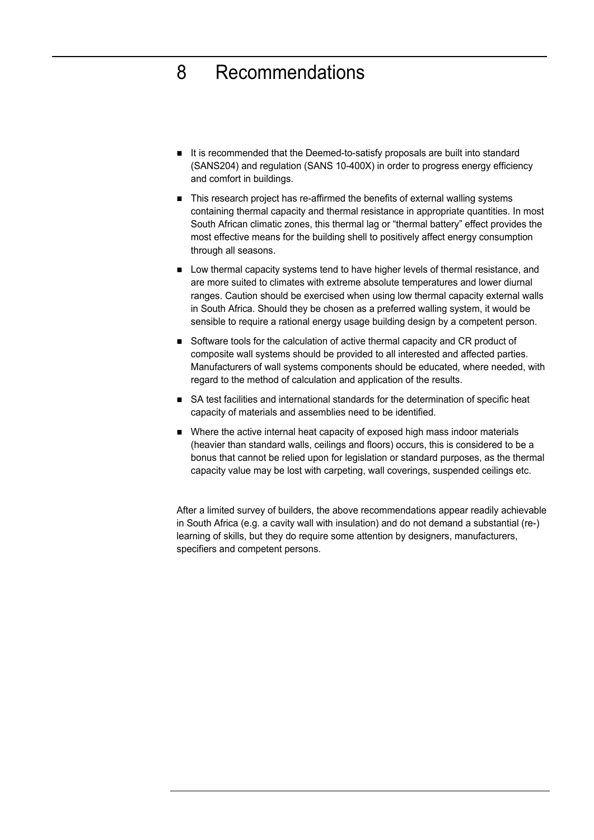### 8 Recommendations

- It is recommended that the Deemed-to-satisfy proposals are built into standard (SANS204) and regulation (SANS 10-400X) in order to progress energy efficiency and comfort in buildings.
- This research project has re-affirmed the benefits of external walling systems containing thermal capacity and thermal resistance in appropriate quantities. In most South African climatic zones, this thermal lag or "thermal battery" effect provides the most effective means for the building shell to positively affect energy consumption through all seasons.
- **EXECT** Low thermal capacity systems tend to have higher levels of thermal resistance, and are more suited to climates with extreme absolute temperatures and lower diurnal ranges. Caution should be exercised when using low thermal capacity external walls in South Africa. Should they be chosen as a preferred walling system, it would be sensible to require a rational energy usage building design by a competent person.
- Software tools for the calculation of active thermal capacity and CR product of composite wall systems should be provided to all interested and affected parties. Manufacturers of wall systems components should be educated, where needed, with regard to the method of calculation and application of the results.
- SA test facilities and international standards for the determination of specific heat capacity of materials and assemblies need to be identified.
- Where the active internal heat capacity of exposed high mass indoor materials (heavier than standard walls, ceilings and floors) occurs, this is considered to be a bonus that cannot be relied upon for legislation or standard purposes, as the thermal capacity value may be lost with carpeting, wall coverings, suspended ceilings etc.

After a limited survey of builders, the above recommendations appear readily achievable in South Africa (e.g. a cavity wall with insulation) and do not demand a substantial (re-) learning of skills, but they do require some attention by designers, manufacturers, specifiers and competent persons.